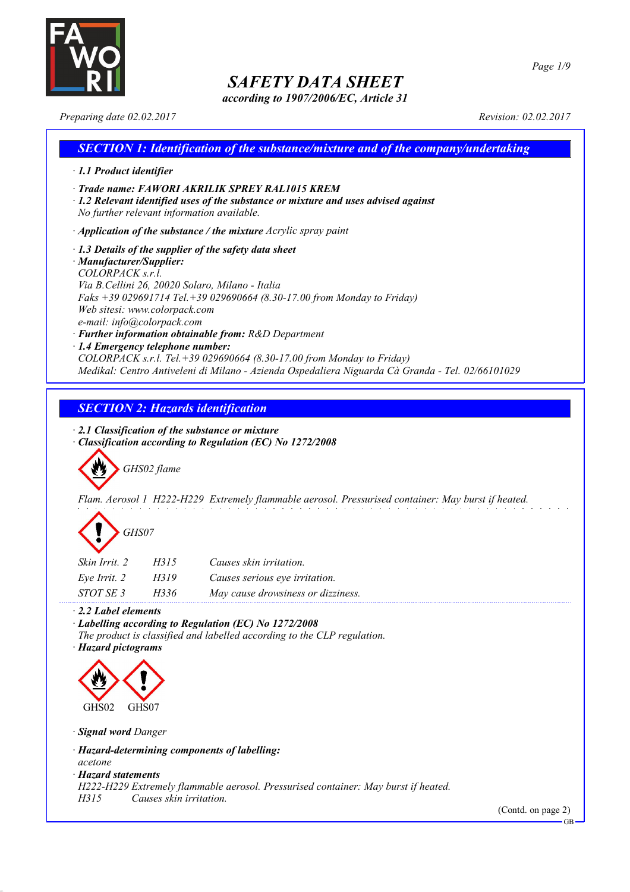

*according to 1907/2006/EC, Article 31*

*Page 1/9*

*Preparing date 02.02.2017 Revision: 02.02.2017*

### *SECTION 1: Identification of the substance/mixture and of the company/undertaking · 1.1 Product identifier · Trade name: FAWORI AKRILIK SPREY RAL1015 KREM · 1.2 Relevant identified uses of the substance or mixture and uses advised against No further relevant information available. · Application of the substance / the mixture Acrylic spray paint · 1.3 Details of the supplier of the safety data sheet · Manufacturer/Supplier: COLORPACK s.r.l. Via B.Cellini 26, 20020 Solaro, Milano - Italia Faks +39 029691714 Tel.+39 029690664 (8.30-17.00 from Monday to Friday) Web sitesi: www.colorpack.com e-mail: info@colorpack.com · Further information obtainable from: R&D Department · 1.4 Emergency telephone number: COLORPACK s.r.l. Tel.+39 029690664 (8.30-17.00 from Monday to Friday) Medikal: Centro Antiveleni di Milano - Azienda Ospedaliera Niguarda Cà Granda - Tel. 02/66101029*

### *SECTION 2: Hazards identification*

*· 2.1 Classification of the substance or mixture*

*· Classification according to Regulation (EC) No 1272/2008*

*GHS02 flame*

*Flam. Aerosol 1 H222-H229 Extremely flammable aerosol. Pressurised container: May burst if heated.*

| GHS07 |
|-------|
|-------|

| Skin Irrit. 2 | H315 | Causes skin irritation.            |
|---------------|------|------------------------------------|
| Eve Irrit. 2  | H319 | Causes serious eye irritation.     |
| STOT SE 3     | H336 | May cause drowsiness or dizziness. |

*· 2.2 Label elements*

*· Labelling according to Regulation (EC) No 1272/2008*

*The product is classified and labelled according to the CLP regulation.*

*· Hazard pictograms*



*· Signal word Danger*

*· Hazard-determining components of labelling:*

*acetone*

*· Hazard statements*

*H222-H229 Extremely flammable aerosol. Pressurised container: May burst if heated.*

*H315 Causes skin irritation.*

(Contd. on page 2)

GB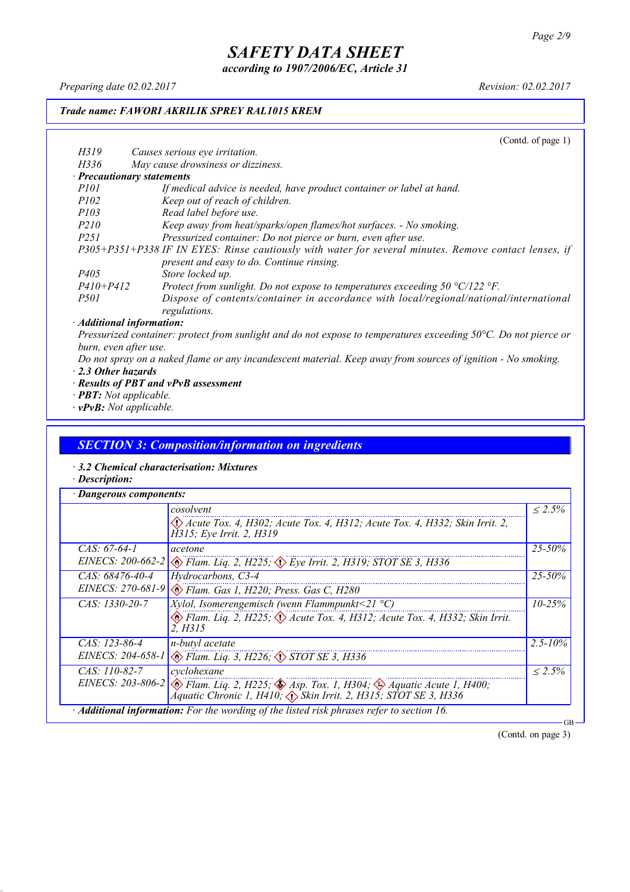*according to 1907/2006/EC, Article 31*

*Preparing date 02.02.2017 Revision: 02.02.2017*

### *Trade name: FAWORI AKRILIK SPREY RAL1015 KREM*

|                                 | (Contd. of page $1$ )                                                                                 |
|---------------------------------|-------------------------------------------------------------------------------------------------------|
| H319                            | Causes serious eye irritation.                                                                        |
| H336                            | May cause drowsiness or dizziness.                                                                    |
| · Precautionary statements      |                                                                                                       |
| <i>P101</i>                     | If medical advice is needed, have product container or label at hand.                                 |
| <i>P102</i>                     | Keep out of reach of children.                                                                        |
| <i>P103</i>                     | Read label before use.                                                                                |
| <i>P210</i>                     | Keep away from heat/sparks/open flames/hot surfaces. - No smoking.                                    |
| P <sub>251</sub>                | Pressurized container: Do not pierce or burn, even after use.                                         |
|                                 | P305+P351+P338 IF IN EYES: Rinse cautiously with water for several minutes. Remove contact lenses, if |
|                                 | present and easy to do. Continue rinsing.                                                             |
| P <sub>405</sub>                | Store locked up.                                                                                      |
| $P410 + P412$                   | Protect from sunlight. Do not expose to temperatures exceeding $50 \degree C/122 \degree F$ .         |
| <i>P501</i>                     | Dispose of contents/container in accordance with local/regional/national/international                |
|                                 | regulations.                                                                                          |
| $\cdot$ Additional information: |                                                                                                       |

Pressurized container: protect from sunlight and do not expose to temperatures exceeding 50°C. Do not pierce or *burn, even after use.*

- Do not spray on a naked flame or any incandescent material. Keep away from sources of ignition No smoking. *· 2.3 Other hazards*
- *· Results of PBT and vPvB assessment*
- *· PBT: Not applicable.*
- *· vPvB: Not applicable.*

### *SECTION 3: Composition/information on ingredients*

- *· 3.2 Chemical characterisation: Mixtures*
- *· Description:*

|                   | cosolvent                                                                                                                                                                                                 | $\leq 2.5\%$ |  |
|-------------------|-----------------------------------------------------------------------------------------------------------------------------------------------------------------------------------------------------------|--------------|--|
|                   | $\langle \cdot \rangle$ Acute Tox. 4, H302; Acute Tox. 4, H312; Acute Tox. 4, H332; Skin Irrit. 2,<br>H315; Eye Irrit. 2, H319                                                                            |              |  |
| $CAS: 67-64-1$    | acetone                                                                                                                                                                                                   | $25 - 50\%$  |  |
| EINECS: 200-662-2 | $\langle \rangle$ Flam. Liq. 2, H225; $\langle \rangle$ Eye Irrit. 2, H319; STOT SE 3, H336                                                                                                               |              |  |
| $CAS: 68476-40-4$ | Hydrocarbons, C3-4                                                                                                                                                                                        | 25-50%       |  |
|                   | EINECS: 270-681-9 & Flam. Gas 1, H220; Press. Gas C, H280                                                                                                                                                 |              |  |
| $CAS: 1330-20-7$  | <i>Xylol, Isomerengemisch (wenn Flammpunkt</i> <21 $^{\circ}$ C)                                                                                                                                          | $10 - 25\%$  |  |
|                   | Elam. Liq. 2, H225; $\Diamond$ Acute Tox. 4, H312; Acute Tox. 4, H332; Skin Irrit.<br>2. H315                                                                                                             |              |  |
| $CAS: 123-86-4$   | n-butyl acetate                                                                                                                                                                                           | $2.5 - 10\%$ |  |
|                   | EINECS: 204-658-1 & Flam. Liq. 3, H226; STOT SE 3, H336                                                                                                                                                   |              |  |
| $CAS: 110-82-7$   | cyclohexane                                                                                                                                                                                               | $\leq 2.5\%$ |  |
|                   | EINECS: 203-806-2 $\otimes$ Flam. Liq. 2, H225; $\otimes$ Asp. Tox. 1, H304; $\otimes$ Aquatic Acute 1, H400;<br>$\bigwedge^2$ quatic Chronic 1, H410; $\bigwedge^5$ Skin Irrit. 2, H315; STOT SE 3, H336 |              |  |

(Contd. on page 3)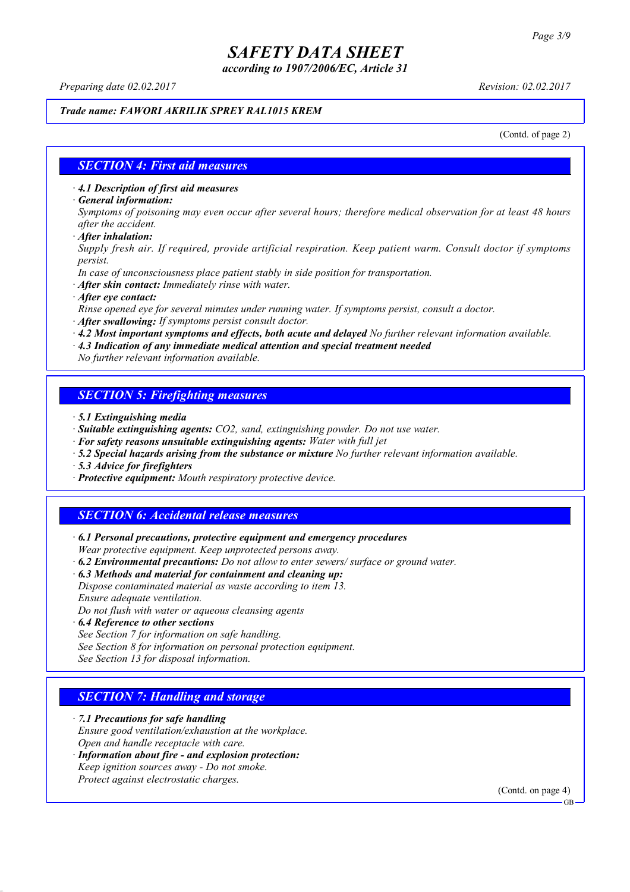*according to 1907/2006/EC, Article 31*

*Preparing date 02.02.2017 Revision: 02.02.2017*

### *Trade name: FAWORI AKRILIK SPREY RAL1015 KREM*

(Contd. of page 2)

### *SECTION 4: First aid measures*

*· 4.1 Description of first aid measures*

*· General information:*

Symptoms of poisoning may even occur after several hours; therefore medical observation for at least 48 hours *after the accident.*

*· After inhalation:*

*Supply fresh air. If required, provide artificial respiration. Keep patient warm. Consult doctor if symptoms persist.*

*In case of unconsciousness place patient stably in side position for transportation.*

- *· After skin contact: Immediately rinse with water.*
- *· After eye contact:*

*Rinse opened eye for several minutes under running water. If symptoms persist, consult a doctor.*

*· After swallowing: If symptoms persist consult doctor.*

*· 4.2 Most important symptoms and effects, both acute and delayed No further relevant information available.*

*· 4.3 Indication of any immediate medical attention and special treatment needed*

*No further relevant information available.*

### *SECTION 5: Firefighting measures*

- *· 5.1 Extinguishing media*
- *· Suitable extinguishing agents: CO2, sand, extinguishing powder. Do not use water.*
- *· For safety reasons unsuitable extinguishing agents: Water with full jet*
- *· 5.2 Special hazards arising from the substance or mixture No further relevant information available.*
- *· 5.3 Advice for firefighters*
- *· Protective equipment: Mouth respiratory protective device.*

### *SECTION 6: Accidental release measures*

*· 6.1 Personal precautions, protective equipment and emergency procedures Wear protective equipment. Keep unprotected persons away.*

*· 6.2 Environmental precautions: Do not allow to enter sewers/ surface or ground water.*

*· 6.3 Methods and material for containment and cleaning up:*

*Dispose contaminated material as waste according to item 13. Ensure adequate ventilation.*

*Do not flush with water or aqueous cleansing agents*

- *· 6.4 Reference to other sections*
- *See Section 7 for information on safe handling.*

*See Section 8 for information on personal protection equipment.*

*See Section 13 for disposal information.*

### *SECTION 7: Handling and storage*

*· 7.1 Precautions for safe handling*

*Ensure good ventilation/exhaustion at the workplace.*

*Open and handle receptacle with care.*

*· Information about fire - and explosion protection: Keep ignition sources away - Do not smoke.*

*Protect against electrostatic charges.*

(Contd. on page 4)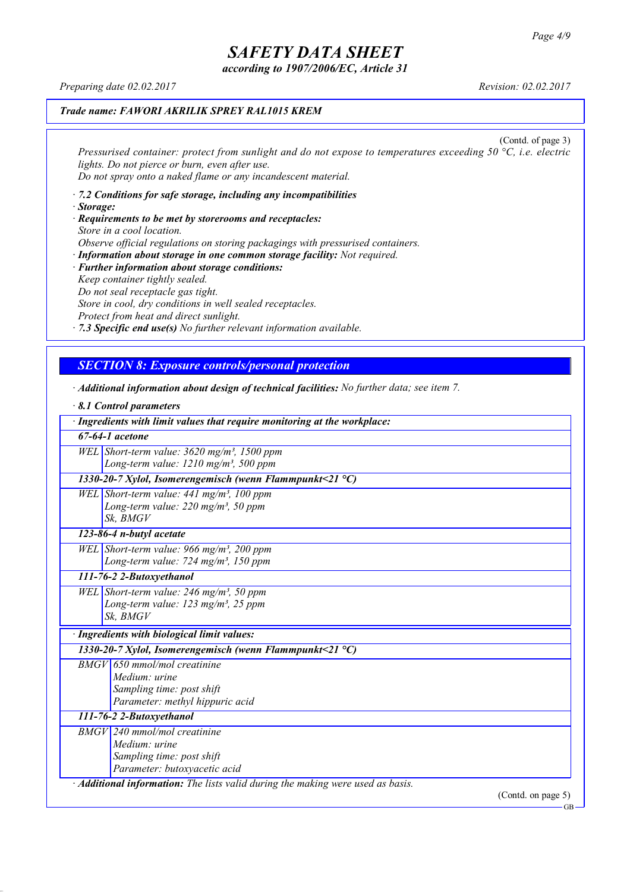*according to 1907/2006/EC, Article 31*

*Preparing date 02.02.2017 Revision: 02.02.2017*

### *Trade name: FAWORI AKRILIK SPREY RAL1015 KREM*

(Contd. of page 3) *Pressurised container: protect from sunlight and do not expose to temperatures exceeding 50 °C, i.e. electric lights. Do not pierce or burn, even after use. Do not spray onto a naked flame or any incandescent material.*

- *· 7.2 Conditions for safe storage, including any incompatibilities · Storage:*
- *· Requirements to be met by storerooms and receptacles: Store in a cool location. Observe official regulations on storing packagings with pressurised containers.*
- *· Information about storage in one common storage facility: Not required. · Further information about storage conditions: Keep container tightly sealed. Do not seal receptacle gas tight. Store in cool, dry conditions in well sealed receptacles. Protect from heat and direct sunlight.*

*· 7.3 Specific end use(s) No further relevant information available.*

### *SECTION 8: Exposure controls/personal protection*

*· Additional information about design of technical facilities: No further data; see item 7.*

| 8.1 Control parameters                                                                                                   |  |
|--------------------------------------------------------------------------------------------------------------------------|--|
| · Ingredients with limit values that require monitoring at the workplace:                                                |  |
| $67-64-1$ acetone                                                                                                        |  |
| WEL Short-term value: $3620$ mg/m <sup>3</sup> , 1500 ppm<br>Long-term value: 1210 mg/m <sup>3</sup> , 500 ppm           |  |
| 1330-20-7 Xylol, Isomerengemisch (wenn Flammpunkt<21 $^{\circ}$ C)                                                       |  |
| WEL Short-term value: $441$ mg/m <sup>3</sup> , 100 ppm<br>Long-term value: $220$ mg/m <sup>3</sup> , 50 ppm<br>Sk. BMGV |  |
| 123-86-4 n-butyl acetate                                                                                                 |  |
| WEL Short-term value: 966 mg/m <sup>3</sup> , 200 ppm<br>Long-term value: 724 mg/m <sup>3</sup> , 150 ppm                |  |
| 111-76-2 2-Butoxyethanol                                                                                                 |  |
| WEL Short-term value: $246$ mg/m <sup>3</sup> , 50 ppm<br>Long-term value: $123$ mg/m <sup>3</sup> , 25 ppm<br>Sk, BMGV  |  |
| · Ingredients with biological limit values:                                                                              |  |
| 1330-20-7 Xylol, Isomerengemisch (wenn Flammpunkt<21 °C)                                                                 |  |
| $BMGV$ 650 mmol/mol creatinine<br>Medium: urine<br>Sampling time: post shift<br>Parameter: methyl hippuric acid          |  |
| 111-76-2 2-Butoxyethanol                                                                                                 |  |
| $BMGV$ 240 mmol/mol creatinine<br>Medium: urine<br>Sampling time: post shift<br>Parameter: butoxyacetic acid             |  |
| · Additional information: The lists valid during the making were used as basis.                                          |  |

(Contd. on page 5)

GB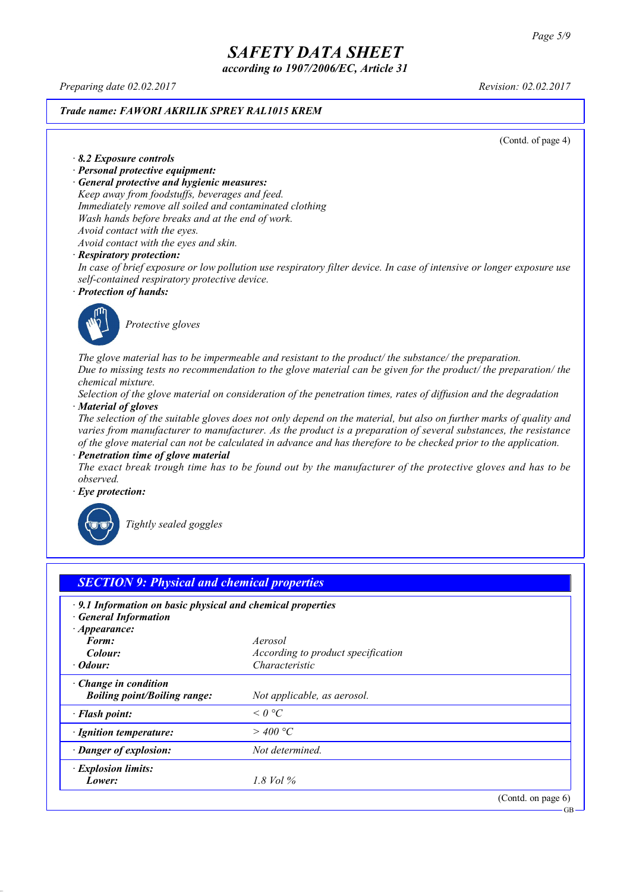*according to 1907/2006/EC, Article 31*

*Preparing date 02.02.2017 Revision: 02.02.2017*

### *Trade name: FAWORI AKRILIK SPREY RAL1015 KREM*

(Contd. of page 4)

#### *· 8.2 Exposure controls*

- *· Personal protective equipment:*
- *· General protective and hygienic measures:*

*Keep away from foodstuffs, beverages and feed. Immediately remove all soiled and contaminated clothing Wash hands before breaks and at the end of work. Avoid contact with the eyes.*

*Avoid contact with the eyes and skin.*

#### *· Respiratory protection:*

In case of brief exposure or low pollution use respiratory filter device. In case of intensive or longer exposure use *self-contained respiratory protective device.*

*· Protection of hands:*



*Protective gloves*

*The glove material has to be impermeable and resistant to the product/ the substance/ the preparation.* Due to missing tests no recommendation to the glove material can be given for the product/ the preparation/ the *chemical mixture.*

Selection of the glove material on consideration of the penetration times, rates of diffusion and the degradation *· Material of gloves*

The selection of the suitable gloves does not only depend on the material, but also on further marks of quality and *varies from manufacturer to manufacturer. As the product is a preparation of several substances, the resistance* of the glove material can not be calculated in advance and has therefore to be checked prior to the application.

*· Penetration time of glove material*

The exact break trough time has to be found out by the manufacturer of the protective gloves and has to be *observed.*

*· Eye protection:*



*Tightly sealed goggles*

| $\cdot$ 9.1 Information on basic physical and chemical properties<br><b>General Information</b> |                                    |  |
|-------------------------------------------------------------------------------------------------|------------------------------------|--|
| $\cdot$ Appearance:                                                                             |                                    |  |
| Form:                                                                                           | Aerosol                            |  |
| Colour:                                                                                         | According to product specification |  |
| · Odour:                                                                                        | Characteristic                     |  |
| $\cdot$ Change in condition                                                                     |                                    |  |
| <b>Boiling point/Boiling range:</b>                                                             | Not applicable, as aerosol.        |  |
| · Flash point:                                                                                  | $\leq$ 0 °C                        |  |
| · Ignition temperature:                                                                         | $>$ 400 °C                         |  |
| · Danger of explosion:                                                                          | Not determined.                    |  |
| · Explosion limits:                                                                             |                                    |  |
| Lower:                                                                                          | 1.8 Vol $\%$                       |  |

GB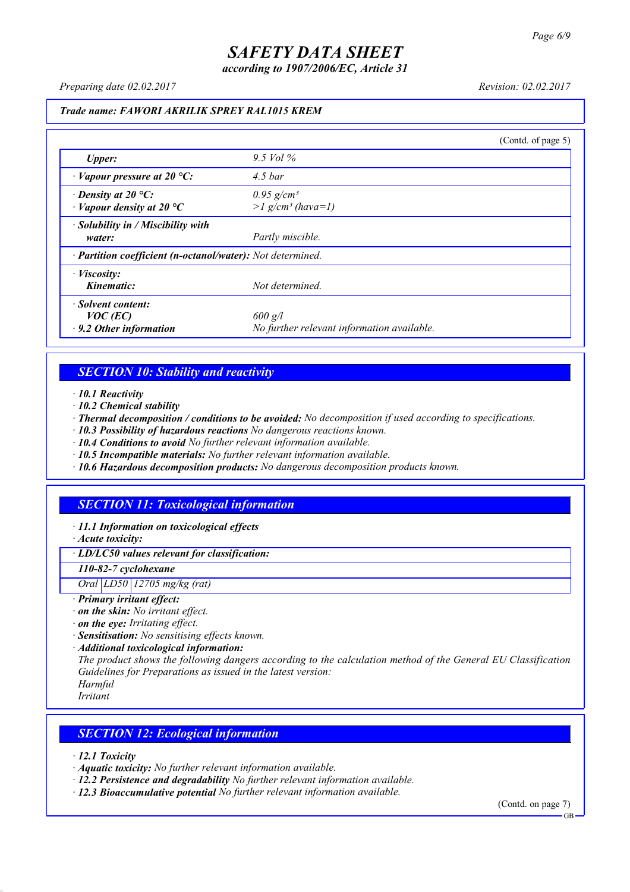*according to 1907/2006/EC, Article 31*

*Preparing date 02.02.2017 Revision: 02.02.2017*

#### *Trade name: FAWORI AKRILIK SPREY RAL1015 KREM*

|                                                                   |                                                             | (Contd. of page 5) |
|-------------------------------------------------------------------|-------------------------------------------------------------|--------------------|
| <b>Upper:</b>                                                     | 9.5 Vol $\%$                                                |                    |
| $\cdot$ Vapour pressure at 20 °C:                                 | $4.5\,bar$                                                  |                    |
| $\cdot$ Density at 20 °C:<br>$\cdot$ Vapour density at 20 °C      | $0.95$ g/cm <sup>3</sup><br>$>l$ g/cm <sup>3</sup> (hava=1) |                    |
| $\cdot$ Solubility in / Miscibility with<br>water:                | Partly miscible.                                            |                    |
| · Partition coefficient (n-octanol/water): Not determined.        |                                                             |                    |
| $\cdot$ <i>Viscosity:</i><br>Kinematic:                           | Not determined.                                             |                    |
| · Solvent content:<br>$VOC$ (EC)<br>$\cdot$ 9.2 Other information | $600$ g/l<br>No further relevant information available.     |                    |

### *SECTION 10: Stability and reactivity*

*· 10.1 Reactivity*

- *· 10.2 Chemical stability*
- *· Thermal decomposition / conditions to be avoided: No decomposition if used according to specifications.*
- *· 10.3 Possibility of hazardous reactions No dangerous reactions known.*
- *· 10.4 Conditions to avoid No further relevant information available.*
- *· 10.5 Incompatible materials: No further relevant information available.*
- *· 10.6 Hazardous decomposition products: No dangerous decomposition products known.*

### *SECTION 11: Toxicological information*

*· 11.1 Information on toxicological effects*

*· Acute toxicity:*

*· LD/LC50 values relevant for classification:*

*110-82-7 cyclohexane*

*Oral LD50 12705 mg/kg (rat)*

- *· Primary irritant effect:*
- *· on the skin: No irritant effect.*
- *· on the eye: Irritating effect.*
- *· Sensitisation: No sensitising effects known.*
- *· Additional toxicological information:*

*The product shows the following dangers according to the calculation method of the General EU Classification Guidelines for Preparations as issued in the latest version:*

*Harmful Irritant*

### *SECTION 12: Ecological information*

*· 12.1 Toxicity*

- *· Aquatic toxicity: No further relevant information available.*
- *· 12.2 Persistence and degradability No further relevant information available.*
- *· 12.3 Bioaccumulative potential No further relevant information available.*

(Contd. on page 7) **GB**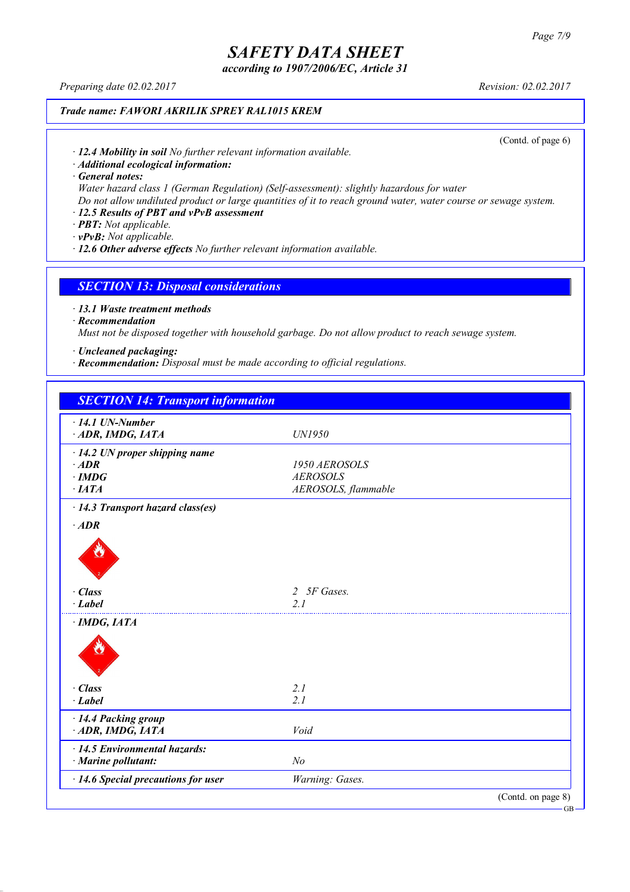*according to 1907/2006/EC, Article 31*

*Preparing date 02.02.2017 Revision: 02.02.2017*

### *Trade name: FAWORI AKRILIK SPREY RAL1015 KREM*

(Contd. of page 6)

*· 12.4 Mobility in soil No further relevant information available.*

*· Additional ecological information:*

*· General notes:*

*Water hazard class 1 (German Regulation) (Self-assessment): slightly hazardous for water*

Do not allow undiluted product or large quantities of it to reach ground water, water course or sewage system.

### *· 12.5 Results of PBT and vPvB assessment*

*· PBT: Not applicable.*

*· vPvB: Not applicable.*

*· 12.6 Other adverse effects No further relevant information available.*

### *SECTION 13: Disposal considerations*

*· 13.1 Waste treatment methods*

*· Recommendation*

*Must not be disposed together with household garbage. Do not allow product to reach sewage system.*

*· Uncleaned packaging:*

*· Recommendation: Disposal must be made according to official regulations.*

| <b>SECTION 14: Transport information</b>  |                             |                    |
|-------------------------------------------|-----------------------------|--------------------|
| $\cdot$ 14.1 UN-Number                    |                             |                    |
| ADR, IMDG, IATA                           | UN1950                      |                    |
| $\cdot$ 14.2 UN proper shipping name      |                             |                    |
| $·$ <i>ADR</i>                            | 1950 AEROSOLS               |                    |
| $\cdot$ IMDG                              | <b>AEROSOLS</b>             |                    |
| $\cdot$ IATA                              | AEROSOLS, flammable         |                    |
| · 14.3 Transport hazard class(es)         |                             |                    |
| $\cdot$ ADR                               |                             |                    |
|                                           |                             |                    |
| · Class                                   | 5F Gases.<br>$\overline{2}$ |                    |
| $\cdot$ Label                             | 2 <sub>1</sub>              |                    |
| $\cdot$ IMDG, IATA                        |                             |                    |
|                                           |                             |                    |
| $\cdot$ Class                             | 2.1                         |                    |
| $\cdot$ Label                             | 2.1                         |                    |
| · 14.4 Packing group                      |                             |                    |
| ADR, IMDG, IATA                           | Void                        |                    |
| $\cdot$ 14.5 Environmental hazards:       |                             |                    |
| · Marine pollutant:                       | N <sub>o</sub>              |                    |
| $\cdot$ 14.6 Special precautions for user | Warning: Gases.             |                    |
|                                           |                             | (Contd. on page 8) |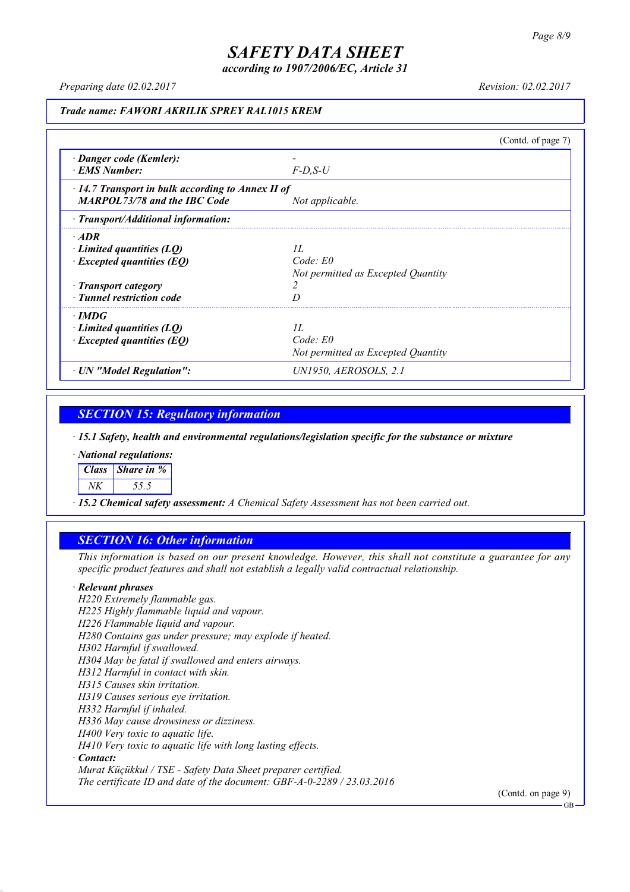*according to 1907/2006/EC, Article 31*

*Preparing date 02.02.2017 Revision: 02.02.2017*

#### *Trade name: FAWORI AKRILIK SPREY RAL1015 KREM*

|                                                                                                                                 |                                                       | (Contd. of page $7$ ) |
|---------------------------------------------------------------------------------------------------------------------------------|-------------------------------------------------------|-----------------------|
| · Danger code (Kemler):<br><b>EMS</b> Number:                                                                                   | $F$ -D.S-U                                            |                       |
| $\cdot$ 14.7 Transport in bulk according to Annex II of<br><b>MARPOL73/78 and the IBC Code</b>                                  | Not applicable.                                       |                       |
| $\cdot$ Transport/Additional information:                                                                                       |                                                       |                       |
| $\cdot$ ADR<br>Limited quantities (LQ)<br>$\cdot$ Excepted quantities (EQ)<br>· Transport category<br>· Tunnel restriction code | II.<br>Code: E0<br>Not permitted as Excepted Quantity |                       |
| $\cdot$ IMDG<br>$\cdot$ Limited quantities (LQ)<br>$\cdot$ Excepted quantities (EQ)                                             | II.<br>Code: E0<br>Not permitted as Excepted Quantity |                       |
| · UN "Model Regulation":                                                                                                        | UN1950, AEROSOLS, 2.1                                 |                       |

### *SECTION 15: Regulatory information*

*· 15.1 Safety, health and environmental regulations/legislation specific for the substance or mixture*

*· National regulations:*

*Class Share in %*

*NK 55.5*

*· 15.2 Chemical safety assessment: A Chemical Safety Assessment has not been carried out.*

### *SECTION 16: Other information*

This information is based on our present knowledge. However, this shall not constitute a guarantee for any *specific product features and shall not establish a legally valid contractual relationship.*

#### *· Relevant phrases*

*H220 Extremely flammable gas. H225 Highly flammable liquid and vapour. H226 Flammable liquid and vapour. H280 Contains gas under pressure; may explode if heated. H302 Harmful if swallowed. H304 May be fatal if swallowed and enters airways. H312 Harmful in contact with skin. H315 Causes skin irritation. H319 Causes serious eye irritation. H332 Harmful if inhaled. H336 May cause drowsiness or dizziness. H400 Very toxic to aquatic life. H410 Very toxic to aquatic life with long lasting effects. · Contact: Murat Küçükkul / TSE - Safety Data Sheet preparer certified.*

*The certificate ID and date of the document: GBF-A-0-2289 / 23.03.2016*

(Contd. on page 9)

GB